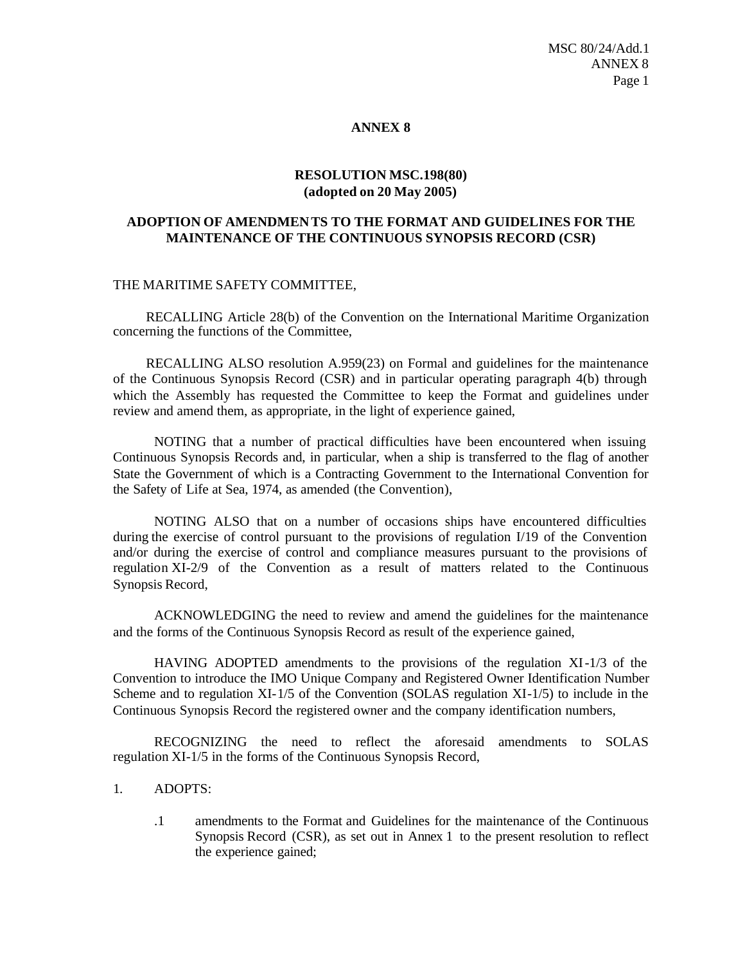#### **ANNEX 8**

## **RESOLUTION MSC.198(80) (adopted on 20 May 2005)**

# **ADOPTION OF AMENDMENTS TO THE FORMAT AND GUIDELINES FOR THE MAINTENANCE OF THE CONTINUOUS SYNOPSIS RECORD (CSR)**

### THE MARITIME SAFETY COMMITTEE,

RECALLING Article 28(b) of the Convention on the International Maritime Organization concerning the functions of the Committee,

RECALLING ALSO resolution A.959(23) on Formal and guidelines for the maintenance of the Continuous Synopsis Record (CSR) and in particular operating paragraph 4(b) through which the Assembly has requested the Committee to keep the Format and guidelines under review and amend them, as appropriate, in the light of experience gained,

NOTING that a number of practical difficulties have been encountered when issuing Continuous Synopsis Records and, in particular, when a ship is transferred to the flag of another State the Government of which is a Contracting Government to the International Convention for the Safety of Life at Sea, 1974, as amended (the Convention),

NOTING ALSO that on a number of occasions ships have encountered difficulties during the exercise of control pursuant to the provisions of regulation I/19 of the Convention and/or during the exercise of control and compliance measures pursuant to the provisions of regulation XI-2/9 of the Convention as a result of matters related to the Continuous Synopsis Record,

ACKNOWLEDGING the need to review and amend the guidelines for the maintenance and the forms of the Continuous Synopsis Record as result of the experience gained,

HAVING ADOPTED amendments to the provisions of the regulation XI-1/3 of the Convention to introduce the IMO Unique Company and Registered Owner Identification Number Scheme and to regulation XI-1/5 of the Convention (SOLAS regulation XI-1/5) to include in the Continuous Synopsis Record the registered owner and the company identification numbers,

RECOGNIZING the need to reflect the aforesaid amendments to SOLAS regulation XI-1/5 in the forms of the Continuous Synopsis Record,

- 1. ADOPTS:
	- .1 amendments to the Format and Guidelines for the maintenance of the Continuous Synopsis Record (CSR), as set out in Annex 1 to the present resolution to reflect the experience gained;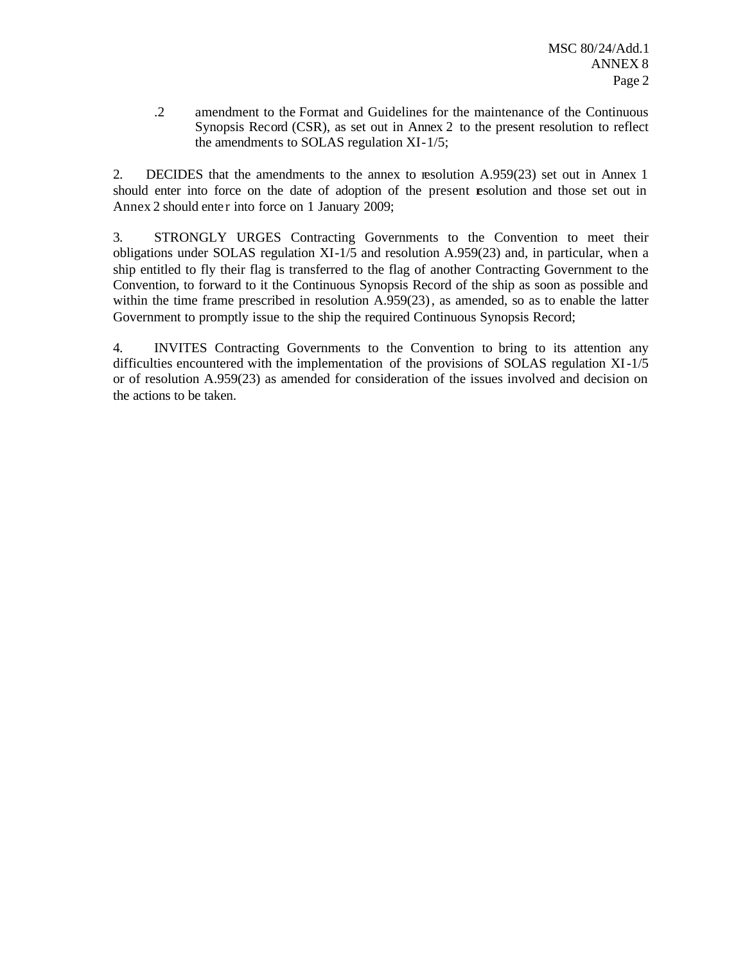.2 amendment to the Format and Guidelines for the maintenance of the Continuous Synopsis Record (CSR), as set out in Annex 2 to the present resolution to reflect the amendments to SOLAS regulation XI-1/5;

2. DECIDES that the amendments to the annex to resolution A.959(23) set out in Annex 1 should enter into force on the date of adoption of the present **e**solution and those set out in Annex 2 should enter into force on 1 January 2009;

3. STRONGLY URGES Contracting Governments to the Convention to meet their obligations under SOLAS regulation XI-1/5 and resolution A.959(23) and, in particular, when a ship entitled to fly their flag is transferred to the flag of another Contracting Government to the Convention, to forward to it the Continuous Synopsis Record of the ship as soon as possible and within the time frame prescribed in resolution A.959(23), as amended, so as to enable the latter Government to promptly issue to the ship the required Continuous Synopsis Record;

4. INVITES Contracting Governments to the Convention to bring to its attention any difficulties encountered with the implementation of the provisions of SOLAS regulation XI-1/5 or of resolution A.959(23) as amended for consideration of the issues involved and decision on the actions to be taken.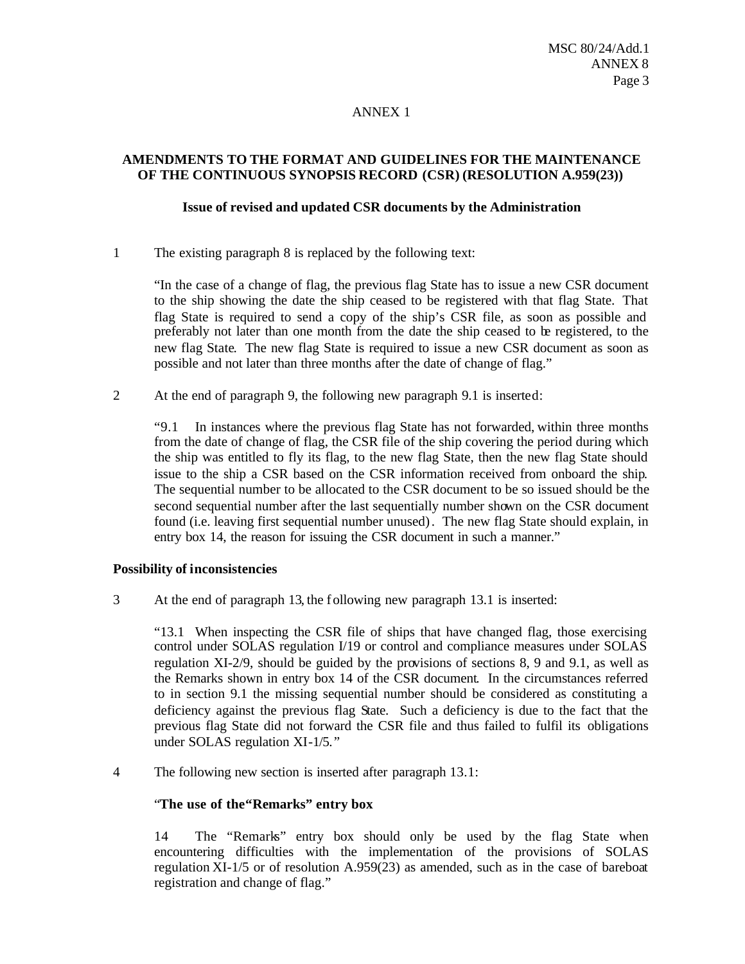## ANNEX 1

## **AMENDMENTS TO THE FORMAT AND GUIDELINES FOR THE MAINTENANCE OF THE CONTINUOUS SYNOPSIS RECORD (CSR) (RESOLUTION A.959(23))**

### **Issue of revised and updated CSR documents by the Administration**

1 The existing paragraph 8 is replaced by the following text:

"In the case of a change of flag, the previous flag State has to issue a new CSR document to the ship showing the date the ship ceased to be registered with that flag State. That flag State is required to send a copy of the ship's CSR file, as soon as possible and preferably not later than one month from the date the ship ceased to be registered, to the new flag State. The new flag State is required to issue a new CSR document as soon as possible and not later than three months after the date of change of flag."

2 At the end of paragraph 9, the following new paragraph 9.1 is inserted:

"9.1 In instances where the previous flag State has not forwarded, within three months from the date of change of flag, the CSR file of the ship covering the period during which the ship was entitled to fly its flag, to the new flag State, then the new flag State should issue to the ship a CSR based on the CSR information received from onboard the ship. The sequential number to be allocated to the CSR document to be so issued should be the second sequential number after the last sequentially number shown on the CSR document found (i.e. leaving first sequential number unused). The new flag State should explain, in entry box 14, the reason for issuing the CSR document in such a manner."

# **Possibility of inconsistencies**

3 At the end of paragraph 13, the f ollowing new paragraph 13.1 is inserted:

"13.1 When inspecting the CSR file of ships that have changed flag, those exercising control under SOLAS regulation I/19 or control and compliance measures under SOLAS regulation XI-2/9, should be guided by the provisions of sections 8, 9 and 9.1, as well as the Remarks shown in entry box 14 of the CSR document. In the circumstances referred to in section 9.1 the missing sequential number should be considered as constituting a deficiency against the previous flag State. Such a deficiency is due to the fact that the previous flag State did not forward the CSR file and thus failed to fulfil its obligations under SOLAS regulation XI-1/5."

4 The following new section is inserted after paragraph 13.1:

#### "The use of the "Remarks" entry box

14 The "Remarks" entry box should only be used by the flag State when encountering difficulties with the implementation of the provisions of SOLAS regulation XI-1/5 or of resolution A.959(23) as amended, such as in the case of bareboat registration and change of flag."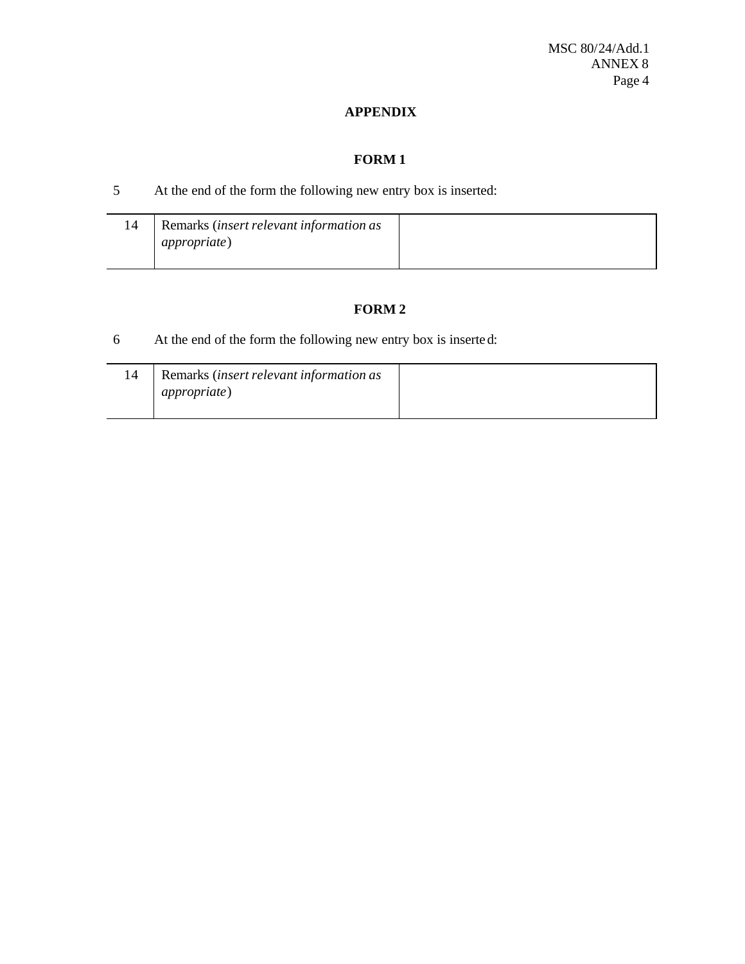# **APPENDIX**

# **FORM 1**

# 5 At the end of the form the following new entry box is inserted:

| Remarks (insert relevant information as |
|-----------------------------------------|
|                                         |
|                                         |
|                                         |
|                                         |

# **FORM 2**

6 At the end of the form the following new entry box is inserte d:

| 14 | Remarks (insert relevant information as<br><i>appropriate</i> ) |  |
|----|-----------------------------------------------------------------|--|
|    |                                                                 |  |